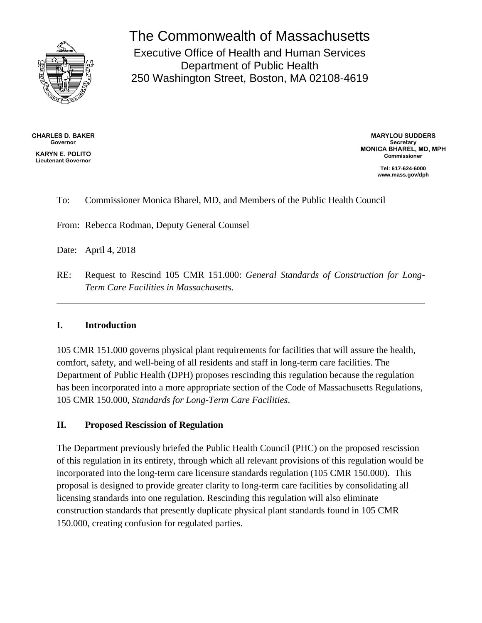

The Commonwealth of Massachusetts Executive Office of Health and Human Services Department of Public Health 250 Washington Street, Boston, MA 02108-4619

**CHARLES D. BAKER Governor KARYN E. POLITO Lieutenant Governor**

**MARYLOU SUDDERS Secretary MONICA BHAREL, MD, MPH Commissioner**

> **Tel: 617-624-6000 www.mass.gov/dph**

### To: Commissioner Monica Bharel, MD, and Members of the Public Health Council

From: Rebecca Rodman, Deputy General Counsel

Date: April 4, 2018

RE: Request to Rescind 105 CMR 151.000: *General Standards of Construction for Long-Term Care Facilities in Massachusetts*.

\_\_\_\_\_\_\_\_\_\_\_\_\_\_\_\_\_\_\_\_\_\_\_\_\_\_\_\_\_\_\_\_\_\_\_\_\_\_\_\_\_\_\_\_\_\_\_\_\_\_\_\_\_\_\_\_\_\_\_\_\_\_\_\_\_\_\_\_\_\_\_\_\_\_\_\_\_\_

#### **I. Introduction**

105 CMR 151.000 governs physical plant requirements for facilities that will assure the health, comfort, safety, and well-being of all residents and staff in long-term care facilities. The Department of Public Health (DPH) proposes rescinding this regulation because the regulation has been incorporated into a more appropriate section of the Code of Massachusetts Regulations, 105 CMR 150.000, *Standards for Long-Term Care Facilities*.

#### **II. Proposed Rescission of Regulation**

The Department previously briefed the Public Health Council (PHC) on the proposed rescission of this regulation in its entirety, through which all relevant provisions of this regulation would be incorporated into the long-term care licensure standards regulation (105 CMR 150.000). This proposal is designed to provide greater clarity to long-term care facilities by consolidating all licensing standards into one regulation. Rescinding this regulation will also eliminate construction standards that presently duplicate physical plant standards found in 105 CMR 150.000, creating confusion for regulated parties.